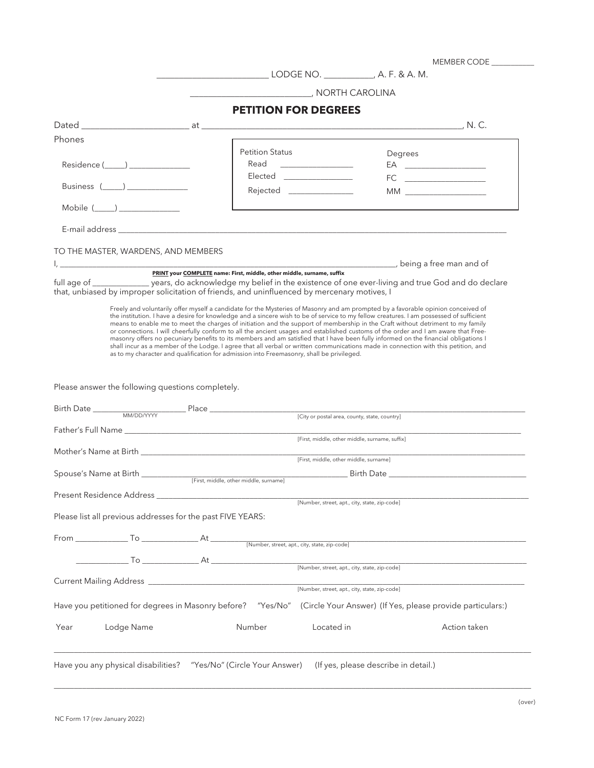|                                                                                                                                                                                                                                                     |                                                                                                                                                                                                                                                                                                                                                                                                                                                                                                                                                                                                                                                                                              | MEMBER CODE THE MEMBER                                                                                                                                                                                                                                                                                                         |
|-----------------------------------------------------------------------------------------------------------------------------------------------------------------------------------------------------------------------------------------------------|----------------------------------------------------------------------------------------------------------------------------------------------------------------------------------------------------------------------------------------------------------------------------------------------------------------------------------------------------------------------------------------------------------------------------------------------------------------------------------------------------------------------------------------------------------------------------------------------------------------------------------------------------------------------------------------------|--------------------------------------------------------------------------------------------------------------------------------------------------------------------------------------------------------------------------------------------------------------------------------------------------------------------------------|
|                                                                                                                                                                                                                                                     |                                                                                                                                                                                                                                                                                                                                                                                                                                                                                                                                                                                                                                                                                              | LODGE NO. _____________, A. F. & A. M.                                                                                                                                                                                                                                                                                         |
|                                                                                                                                                                                                                                                     | MORTH CAROLINA                                                                                                                                                                                                                                                                                                                                                                                                                                                                                                                                                                                                                                                                               |                                                                                                                                                                                                                                                                                                                                |
|                                                                                                                                                                                                                                                     | <b>PETITION FOR DEGREES</b>                                                                                                                                                                                                                                                                                                                                                                                                                                                                                                                                                                                                                                                                  |                                                                                                                                                                                                                                                                                                                                |
|                                                                                                                                                                                                                                                     |                                                                                                                                                                                                                                                                                                                                                                                                                                                                                                                                                                                                                                                                                              |                                                                                                                                                                                                                                                                                                                                |
| Phones                                                                                                                                                                                                                                              |                                                                                                                                                                                                                                                                                                                                                                                                                                                                                                                                                                                                                                                                                              |                                                                                                                                                                                                                                                                                                                                |
|                                                                                                                                                                                                                                                     | <b>Petition Status</b><br>Read                                                                                                                                                                                                                                                                                                                                                                                                                                                                                                                                                                                                                                                               | Degrees                                                                                                                                                                                                                                                                                                                        |
| $Residence (\_\_)\_\_ \_\_ \_\_ \_\_ \_\_ \_\_ \_\_ \_ \_ \_$                                                                                                                                                                                       | Elected                                                                                                                                                                                                                                                                                                                                                                                                                                                                                                                                                                                                                                                                                      | $EA$ and the set of $A$ and $A$ and $A$ and $A$ and $A$ and $A$ and $A$ and $A$ and $A$ and $A$ and $A$ and $A$ and $A$ and $A$ and $A$ and $A$ and $A$ and $A$ and $A$ and $A$ and $A$ and $A$ and $A$ and $A$ and $A$ and $A$<br>$FC \begin{tabular}{l} \hline \rule[1mm]{1mm}{6mm} FC & \rule[1mm]{1mm}{6mm} \end{tabular}$ |
| Business $(\_\_)$                                                                                                                                                                                                                                   | Rejected ______________                                                                                                                                                                                                                                                                                                                                                                                                                                                                                                                                                                                                                                                                      | $MM$                                                                                                                                                                                                                                                                                                                           |
| Mobile ()                                                                                                                                                                                                                                           |                                                                                                                                                                                                                                                                                                                                                                                                                                                                                                                                                                                                                                                                                              |                                                                                                                                                                                                                                                                                                                                |
|                                                                                                                                                                                                                                                     |                                                                                                                                                                                                                                                                                                                                                                                                                                                                                                                                                                                                                                                                                              |                                                                                                                                                                                                                                                                                                                                |
|                                                                                                                                                                                                                                                     |                                                                                                                                                                                                                                                                                                                                                                                                                                                                                                                                                                                                                                                                                              |                                                                                                                                                                                                                                                                                                                                |
| TO THE MASTER, WARDENS, AND MEMBERS                                                                                                                                                                                                                 |                                                                                                                                                                                                                                                                                                                                                                                                                                                                                                                                                                                                                                                                                              |                                                                                                                                                                                                                                                                                                                                |
|                                                                                                                                                                                                                                                     | PRINT your COMPLETE name: First, middle, other middle, surname, suffix                                                                                                                                                                                                                                                                                                                                                                                                                                                                                                                                                                                                                       |                                                                                                                                                                                                                                                                                                                                |
|                                                                                                                                                                                                                                                     | that, unbiased by improper solicitation of friends, and uninfluenced by mercenary motives, I                                                                                                                                                                                                                                                                                                                                                                                                                                                                                                                                                                                                 | full age of example and years, do acknowledge my belief in the existence of one ever-living and true God and do declare                                                                                                                                                                                                        |
|                                                                                                                                                                                                                                                     |                                                                                                                                                                                                                                                                                                                                                                                                                                                                                                                                                                                                                                                                                              |                                                                                                                                                                                                                                                                                                                                |
|                                                                                                                                                                                                                                                     | the institution. I have a desire for knowledge and a sincere wish to be of service to my fellow creatures. I am possessed of sufficient<br>means to enable me to meet the charges of initiation and the support of membership in the Craft without detriment to my family<br>or connections. I will cheerfully conform to all the ancient usages and established customs of the order and I am aware that Free-<br>masonry offers no pecuniary benefits to its members and am satisfied that I have been fully informed on the financial obligations I<br>shall incur as a member of the Lodge. I agree that all verbal or written communications made in connection with this petition, and |                                                                                                                                                                                                                                                                                                                                |
|                                                                                                                                                                                                                                                     | as to my character and qualification for admission into Freemasonry, shall be privileged.                                                                                                                                                                                                                                                                                                                                                                                                                                                                                                                                                                                                    |                                                                                                                                                                                                                                                                                                                                |
|                                                                                                                                                                                                                                                     |                                                                                                                                                                                                                                                                                                                                                                                                                                                                                                                                                                                                                                                                                              |                                                                                                                                                                                                                                                                                                                                |
|                                                                                                                                                                                                                                                     |                                                                                                                                                                                                                                                                                                                                                                                                                                                                                                                                                                                                                                                                                              |                                                                                                                                                                                                                                                                                                                                |
|                                                                                                                                                                                                                                                     |                                                                                                                                                                                                                                                                                                                                                                                                                                                                                                                                                                                                                                                                                              |                                                                                                                                                                                                                                                                                                                                |
|                                                                                                                                                                                                                                                     |                                                                                                                                                                                                                                                                                                                                                                                                                                                                                                                                                                                                                                                                                              | [First, middle, other middle, surname, suffix]                                                                                                                                                                                                                                                                                 |
|                                                                                                                                                                                                                                                     |                                                                                                                                                                                                                                                                                                                                                                                                                                                                                                                                                                                                                                                                                              | [First, middle, other middle, surname]                                                                                                                                                                                                                                                                                         |
|                                                                                                                                                                                                                                                     |                                                                                                                                                                                                                                                                                                                                                                                                                                                                                                                                                                                                                                                                                              | <b>Solution</b> Birth Date                                                                                                                                                                                                                                                                                                     |
|                                                                                                                                                                                                                                                     | [First, middle, other middle, surname]                                                                                                                                                                                                                                                                                                                                                                                                                                                                                                                                                                                                                                                       |                                                                                                                                                                                                                                                                                                                                |
|                                                                                                                                                                                                                                                     |                                                                                                                                                                                                                                                                                                                                                                                                                                                                                                                                                                                                                                                                                              | [Number, street, apt., city, state, zip-code]                                                                                                                                                                                                                                                                                  |
|                                                                                                                                                                                                                                                     |                                                                                                                                                                                                                                                                                                                                                                                                                                                                                                                                                                                                                                                                                              |                                                                                                                                                                                                                                                                                                                                |
|                                                                                                                                                                                                                                                     |                                                                                                                                                                                                                                                                                                                                                                                                                                                                                                                                                                                                                                                                                              |                                                                                                                                                                                                                                                                                                                                |
|                                                                                                                                                                                                                                                     |                                                                                                                                                                                                                                                                                                                                                                                                                                                                                                                                                                                                                                                                                              |                                                                                                                                                                                                                                                                                                                                |
|                                                                                                                                                                                                                                                     | $\begin{minipage}{0.9\linewidth} \begin{tabular}{l} \textbf{To} \end{tabular} \begin{tabular}{l} \textbf{To} \end{tabular} \begin{tabular}{l} \textbf{A} t \end{tabular} \begin{tabular}{l} \textbf{A} t \end{tabular} \end{minipage} \begin{minipage}{0.9\linewidth} \begin{tabular}{l} \textbf{[Number, street, apt, city, state, zip-code]} \end{tabular} \end{minipage} \end{minipage} \begin{minipage}{0.9\linewidth} \begin{tabular}{l} \textbf{[Number, street, apt, city, state, zip-code]} \end{tabular} \end{minipage} \end{minipage}$                                                                                                                                             |                                                                                                                                                                                                                                                                                                                                |
|                                                                                                                                                                                                                                                     |                                                                                                                                                                                                                                                                                                                                                                                                                                                                                                                                                                                                                                                                                              |                                                                                                                                                                                                                                                                                                                                |
|                                                                                                                                                                                                                                                     |                                                                                                                                                                                                                                                                                                                                                                                                                                                                                                                                                                                                                                                                                              | [Number, street, apt., city, state, zip-code]                                                                                                                                                                                                                                                                                  |
| Please answer the following questions completely.<br>Spouse's Name at Birth ___________<br>Present Residence Address_<br>Please list all previous addresses for the past FIVE YEARS:<br>Have you petitioned for degrees in Masonry before? "Yes/No" |                                                                                                                                                                                                                                                                                                                                                                                                                                                                                                                                                                                                                                                                                              | (Circle Your Answer) (If Yes, please provide particulars:)                                                                                                                                                                                                                                                                     |

\_\_\_\_\_\_\_\_\_\_\_\_\_\_\_\_\_\_\_\_\_\_\_\_\_\_\_\_\_\_\_\_\_\_\_\_\_\_\_\_\_\_\_\_\_\_\_\_\_\_\_\_\_\_\_\_\_\_\_\_\_\_\_\_\_\_\_\_\_\_\_\_\_\_\_\_\_\_\_\_\_\_\_\_\_\_\_\_\_\_\_\_\_\_\_\_\_\_\_\_\_\_\_\_\_\_\_\_\_\_\_\_\_\_\_\_\_\_